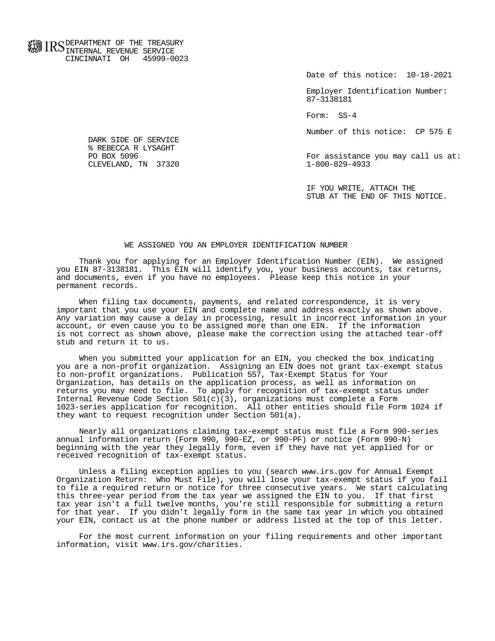**FOR ID C** DEPARTMENT OF THE TREASURY **WWW IIND** INTERNAL REVENUE SERVICE CINCINNATI OH 45999-0023

Date of this notice: 10-18-2021

 Employer Identification Number: 87-3138181

Form: SS-4

Number of this notice: CP 575 E

For assistance you may call us at:<br> $1-800-829-4933$ 

 IF YOU WRITE, ATTACH THE STUB AT THE END OF THIS NOTICE.

## WE ASSIGNED YOU AN EMPLOYER IDENTIFICATION NUMBER

 Thank you for applying for an Employer Identification Number (EIN). We assigned you EIN 87-3138181. This EIN will identify you, your business accounts, tax returns, and documents, even if you have no employees. Please keep this notice in your permanent records.

 When filing tax documents, payments, and related correspondence, it is very important that you use your EIN and complete name and address exactly as shown above. Any variation may cause a delay in processing, result in incorrect information in your account, or even cause you to be assigned more than one EIN. If the information is not correct as shown above, please make the correction using the attached tear-off stub and return it to us.

 When you submitted your application for an EIN, you checked the box indicating you are a non-profit organization. Assigning an EIN does not grant tax-exempt status to non-profit organizations. Publication 557, Tax-Exempt Status for Your Organization, has details on the application process, as well as information on returns you may need to file. To apply for recognition of tax-exempt status under Internal Revenue Code Section  $501(c)(3)$ , organizations must complete a Form 1023-series application for recognition. All other entities should file Form 1024 if they want to request recognition under Section 501(a).

 Nearly all organizations claiming tax-exempt status must file a Form 990-series annual information return (Form 990, 990-EZ, or 990-PF) or notice (Form 990-N) beginning with the year they legally form, even if they have not yet applied for or received recognition of tax-exempt status.

 Unless a filing exception applies to you (search www.irs.gov for Annual Exempt Organization Return: Who Must File), you will lose your tax-exempt status if you fail to file a required return or notice for three consecutive years. We start calculating this three-year period from the tax year we assigned the EIN to you. If that first tax year isn't a full twelve months, you're still responsible for submitting a return for that year. If you didn't legally form in the same tax year in which you obtained your EIN, contact us at the phone number or address listed at the top of this letter.

 For the most current information on your filing requirements and other important information, visit www.irs.gov/charities.

 DARK SIDE OF SERVICE % REBECCA R LYSAGHT<br>PO BOX 5096 CLEVELAND, TN 37320